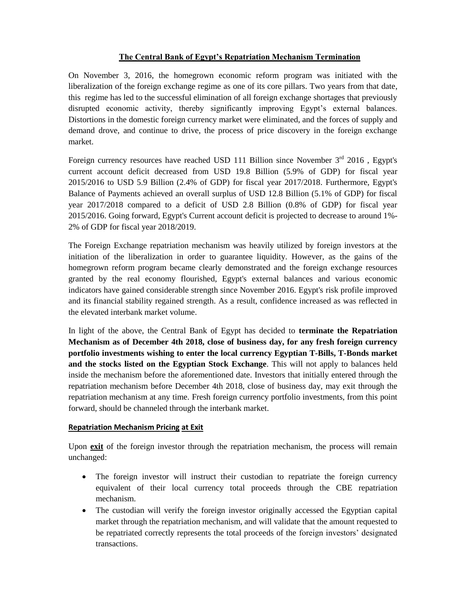## **The Central Bank of Egypt's Repatriation Mechanism Termination**

On November 3, 2016, the homegrown economic reform program was initiated with the liberalization of the foreign exchange regime as one of its core pillars. Two years from that date, this regime has led to the successful elimination of all foreign exchange shortages that previously disrupted economic activity, thereby significantly improving Egypt's external balances. Distortions in the domestic foreign currency market were eliminated, and the forces of supply and demand drove, and continue to drive, the process of price discovery in the foreign exchange market.

Foreign currency resources have reached USD 111 Billion since November  $3<sup>rd</sup>$  2016, Egypt's current account deficit decreased from USD 19.8 Billion (5.9% of GDP) for fiscal year 2015/2016 to USD 5.9 Billion (2.4% of GDP) for fiscal year 2017/2018. Furthermore, Egypt's Balance of Payments achieved an overall surplus of USD 12.8 Billion (5.1% of GDP) for fiscal year 2017/2018 compared to a deficit of USD 2.8 Billion (0.8% of GDP) for fiscal year 2015/2016. Going forward, Egypt's Current account deficit is projected to decrease to around 1%- 2% of GDP for fiscal year 2018/2019.

The Foreign Exchange repatriation mechanism was heavily utilized by foreign investors at the initiation of the liberalization in order to guarantee liquidity. However, as the gains of the homegrown reform program became clearly demonstrated and the foreign exchange resources granted by the real economy flourished, Egypt's external balances and various economic indicators have gained considerable strength since November 2016. Egypt's risk profile improved and its financial stability regained strength. As a result, confidence increased as was reflected in the elevated interbank market volume.

In light of the above, the Central Bank of Egypt has decided to **terminate the Repatriation Mechanism as of December 4th 2018, close of business day, for any fresh foreign currency portfolio investments wishing to enter the local currency Egyptian T-Bills, T-Bonds market and the stocks listed on the Egyptian Stock Exchange**. This will not apply to balances held inside the mechanism before the aforementioned date. Investors that initially entered through the repatriation mechanism before December 4th 2018, close of business day, may exit through the repatriation mechanism at any time. Fresh foreign currency portfolio investments, from this point forward, should be channeled through the interbank market.

## **Repatriation Mechanism Pricing at Exit**

Upon **exit** of the foreign investor through the repatriation mechanism, the process will remain unchanged:

- The foreign investor will instruct their custodian to repatriate the foreign currency equivalent of their local currency total proceeds through the CBE repatriation mechanism.
- The custodian will verify the foreign investor originally accessed the Egyptian capital market through the repatriation mechanism, and will validate that the amount requested to be repatriated correctly represents the total proceeds of the foreign investors' designated transactions.